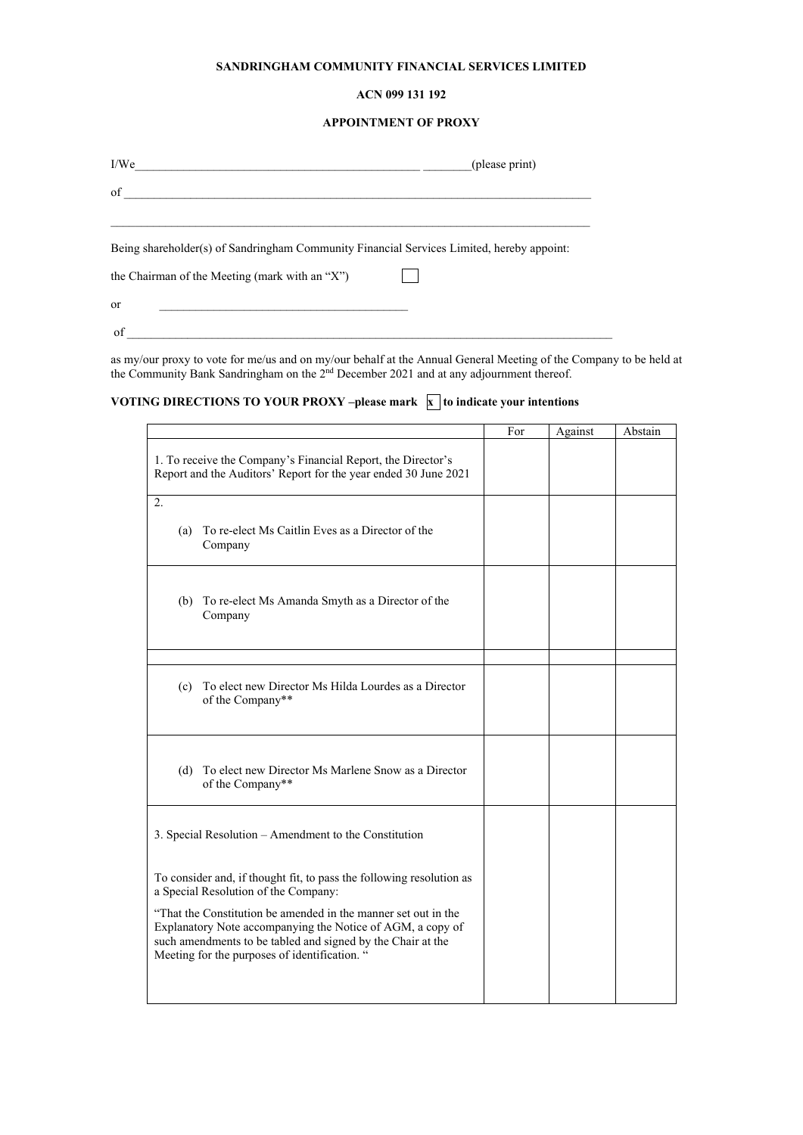## **SANDRINGHAM COMMUNITY FINANCIAL SERVICES LIMITED**

### **ACN 099 131 192**

### **APPOINTMENT OF PROXY**

| I/We                                                                                      | (please print) |  |
|-------------------------------------------------------------------------------------------|----------------|--|
| of                                                                                        |                |  |
|                                                                                           |                |  |
| Being shareholder(s) of Sandringham Community Financial Services Limited, hereby appoint: |                |  |
| the Chairman of the Meeting (mark with an "X")                                            |                |  |
| <sub>or</sub>                                                                             |                |  |
| of                                                                                        |                |  |

as my/our proxy to vote for me/us and on my/our behalf at the Annual General Meeting of the Company to be held at the Community Bank Sandringham on the 2<sup>nd</sup> December 2021 and at any adjournment thereof.

# **VOTING DIRECTIONS TO YOUR PROXY –please mark**  $\boxed{\mathbf{x}}$  **to indicate your intentions**

|                                                                                                                                                                                                                                              | For | Against | Abstain |
|----------------------------------------------------------------------------------------------------------------------------------------------------------------------------------------------------------------------------------------------|-----|---------|---------|
| 1. To receive the Company's Financial Report, the Director's<br>Report and the Auditors' Report for the year ended 30 June 2021                                                                                                              |     |         |         |
| 2.                                                                                                                                                                                                                                           |     |         |         |
| To re-elect Ms Caitlin Eves as a Director of the<br>(a)<br>Company                                                                                                                                                                           |     |         |         |
| (b) To re-elect Ms Amanda Smyth as a Director of the<br>Company                                                                                                                                                                              |     |         |         |
|                                                                                                                                                                                                                                              |     |         |         |
| (c) To elect new Director Ms Hilda Lourdes as a Director<br>of the Company**                                                                                                                                                                 |     |         |         |
| To elect new Director Ms Marlene Snow as a Director<br>(d)<br>of the Company**                                                                                                                                                               |     |         |         |
| 3. Special Resolution – Amendment to the Constitution                                                                                                                                                                                        |     |         |         |
| To consider and, if thought fit, to pass the following resolution as<br>a Special Resolution of the Company:                                                                                                                                 |     |         |         |
| "That the Constitution be amended in the manner set out in the<br>Explanatory Note accompanying the Notice of AGM, a copy of<br>such amendments to be tabled and signed by the Chair at the<br>Meeting for the purposes of identification. " |     |         |         |
|                                                                                                                                                                                                                                              |     |         |         |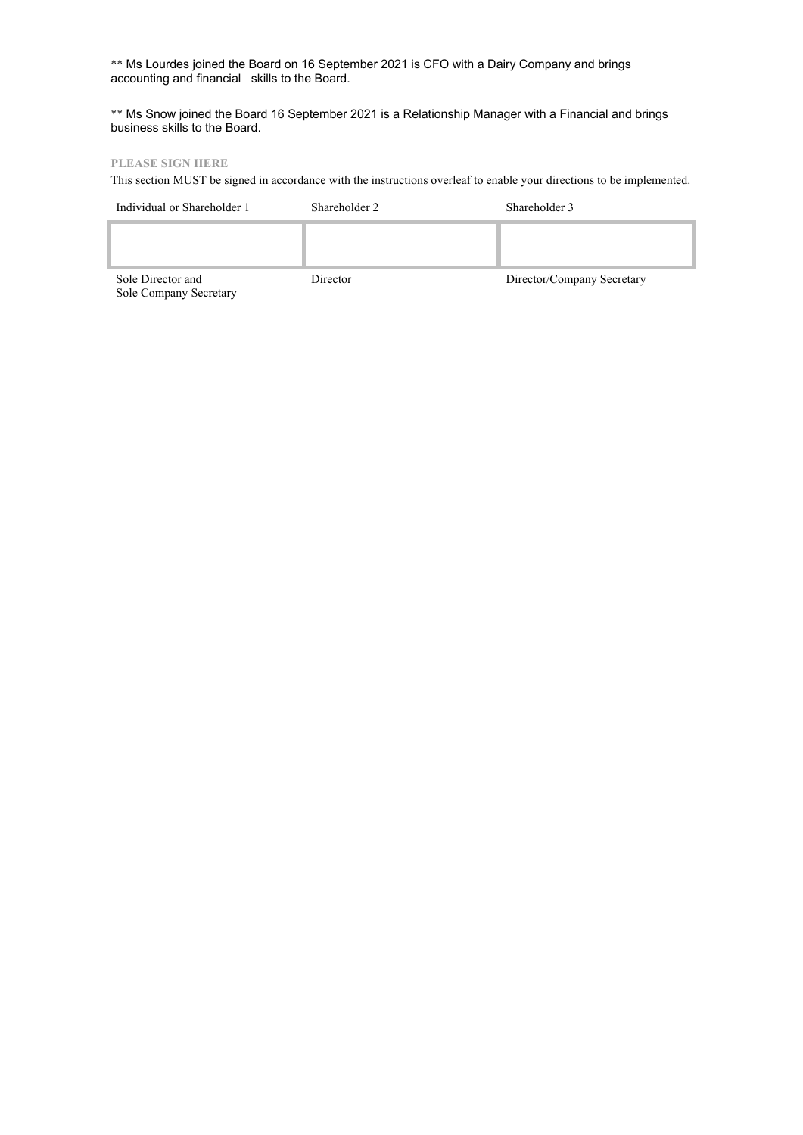\*\* Ms Lourdes joined the Board on 16 September 2021 is CFO with a Dairy Company and brings accounting and financial skills to the Board.

\*\* Ms Snow joined the Board 16 September 2021 is a Relationship Manager with a Financial and brings business skills to the Board.

#### **PLEASE SIGN HERE**

This section MUST be signed in accordance with the instructions overleaf to enable your directions to be implemented.

| Individual or Shareholder 1 | Shareholder 2 | Shareholder 3              |
|-----------------------------|---------------|----------------------------|
|                             |               |                            |
|                             |               |                            |
| Sole Director and           | Director      | Director/Company Secretary |

Sole Company Secretary